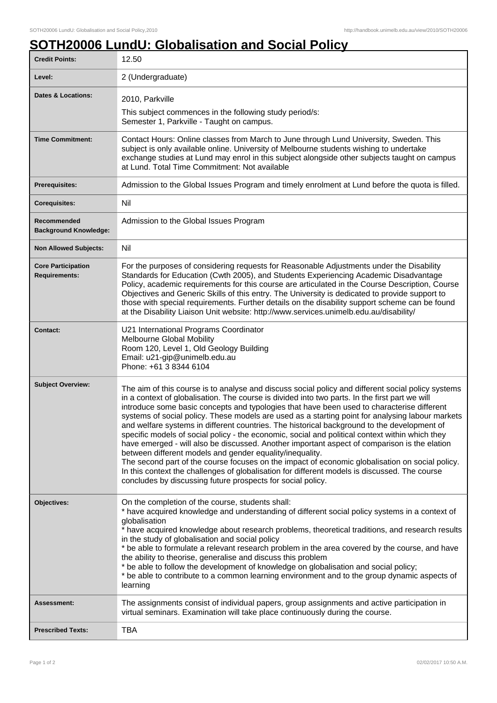## **SOTH20006 LundU: Globalisation and Social Policy**

| <b>Credit Points:</b>                             | 12.50                                                                                                                                                                                                                                                                                                                                                                                                                                                                                                                                                                                                                                                                                                                                                                                                                                                                                                                                                                                                                                   |
|---------------------------------------------------|-----------------------------------------------------------------------------------------------------------------------------------------------------------------------------------------------------------------------------------------------------------------------------------------------------------------------------------------------------------------------------------------------------------------------------------------------------------------------------------------------------------------------------------------------------------------------------------------------------------------------------------------------------------------------------------------------------------------------------------------------------------------------------------------------------------------------------------------------------------------------------------------------------------------------------------------------------------------------------------------------------------------------------------------|
| Level:                                            | 2 (Undergraduate)                                                                                                                                                                                                                                                                                                                                                                                                                                                                                                                                                                                                                                                                                                                                                                                                                                                                                                                                                                                                                       |
| <b>Dates &amp; Locations:</b>                     | 2010, Parkville                                                                                                                                                                                                                                                                                                                                                                                                                                                                                                                                                                                                                                                                                                                                                                                                                                                                                                                                                                                                                         |
|                                                   | This subject commences in the following study period/s:<br>Semester 1, Parkville - Taught on campus.                                                                                                                                                                                                                                                                                                                                                                                                                                                                                                                                                                                                                                                                                                                                                                                                                                                                                                                                    |
| <b>Time Commitment:</b>                           | Contact Hours: Online classes from March to June through Lund University, Sweden. This<br>subject is only available online. University of Melbourne students wishing to undertake<br>exchange studies at Lund may enrol in this subject alongside other subjects taught on campus<br>at Lund. Total Time Commitment: Not available                                                                                                                                                                                                                                                                                                                                                                                                                                                                                                                                                                                                                                                                                                      |
| Prerequisites:                                    | Admission to the Global Issues Program and timely enrolment at Lund before the quota is filled.                                                                                                                                                                                                                                                                                                                                                                                                                                                                                                                                                                                                                                                                                                                                                                                                                                                                                                                                         |
| <b>Corequisites:</b>                              | Nil                                                                                                                                                                                                                                                                                                                                                                                                                                                                                                                                                                                                                                                                                                                                                                                                                                                                                                                                                                                                                                     |
| Recommended<br><b>Background Knowledge:</b>       | Admission to the Global Issues Program                                                                                                                                                                                                                                                                                                                                                                                                                                                                                                                                                                                                                                                                                                                                                                                                                                                                                                                                                                                                  |
| <b>Non Allowed Subjects:</b>                      | Nil                                                                                                                                                                                                                                                                                                                                                                                                                                                                                                                                                                                                                                                                                                                                                                                                                                                                                                                                                                                                                                     |
| <b>Core Participation</b><br><b>Requirements:</b> | For the purposes of considering requests for Reasonable Adjustments under the Disability<br>Standards for Education (Cwth 2005), and Students Experiencing Academic Disadvantage<br>Policy, academic requirements for this course are articulated in the Course Description, Course<br>Objectives and Generic Skills of this entry. The University is dedicated to provide support to<br>those with special requirements. Further details on the disability support scheme can be found<br>at the Disability Liaison Unit website: http://www.services.unimelb.edu.au/disability/                                                                                                                                                                                                                                                                                                                                                                                                                                                       |
| <b>Contact:</b>                                   | U21 International Programs Coordinator<br>Melbourne Global Mobility<br>Room 120, Level 1, Old Geology Building<br>Email: u21-gip@unimelb.edu.au<br>Phone: +61 3 8344 6104                                                                                                                                                                                                                                                                                                                                                                                                                                                                                                                                                                                                                                                                                                                                                                                                                                                               |
| <b>Subject Overview:</b>                          | The aim of this course is to analyse and discuss social policy and different social policy systems<br>in a context of globalisation. The course is divided into two parts. In the first part we will<br>introduce some basic concepts and typologies that have been used to characterise different<br>systems of social policy. These models are used as a starting point for analysing labour markets<br>and welfare systems in different countries. The historical background to the development of<br>specific models of social policy - the economic, social and political context within which they<br>have emerged - will also be discussed. Another important aspect of comparison is the elation<br>between different models and gender equality/inequality.<br>The second part of the course focuses on the impact of economic globalisation on social policy.<br>In this context the challenges of globalisation for different models is discussed. The course<br>concludes by discussing future prospects for social policy. |
| Objectives:                                       | On the completion of the course, students shall:<br>* have acquired knowledge and understanding of different social policy systems in a context of<br>globalisation<br>* have acquired knowledge about research problems, theoretical traditions, and research results<br>in the study of globalisation and social policy<br>* be able to formulate a relevant research problem in the area covered by the course, and have<br>the ability to theorise, generalise and discuss this problem<br>* be able to follow the development of knowledge on globalisation and social policy;<br>* be able to contribute to a common learning environment and to the group dynamic aspects of<br>learning                                                                                                                                                                                                                                                                                                                                         |
| <b>Assessment:</b>                                | The assignments consist of individual papers, group assignments and active participation in<br>virtual seminars. Examination will take place continuously during the course.                                                                                                                                                                                                                                                                                                                                                                                                                                                                                                                                                                                                                                                                                                                                                                                                                                                            |
| <b>Prescribed Texts:</b>                          | <b>TBA</b>                                                                                                                                                                                                                                                                                                                                                                                                                                                                                                                                                                                                                                                                                                                                                                                                                                                                                                                                                                                                                              |